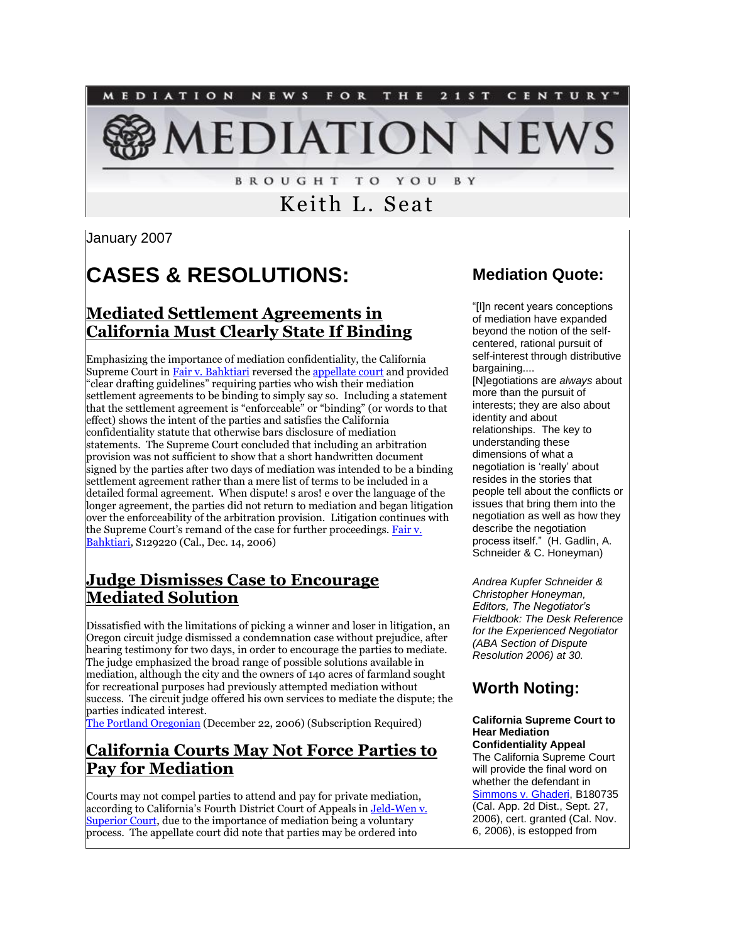

**BROUGHT TO YOU** BY

# Keith L. Seat

January 2007

# **CASES & RESOLUTIONS:**

### **Mediated Settlement Agreements in California Must Clearly State If Binding**

Emphasizing the importance of mediation confidentiality, the California Supreme Court in [Fair v. Bahktiari](http://tinyurl.com/tdn4f) reversed the [appellate court](http://tinyurl.com/t87jl) and provided "clear drafting guidelines" requiring parties who wish their mediation settlement agreements to be binding to simply say so. Including a statement that the settlement agreement is "enforceable" or "binding" (or words to that effect) shows the intent of the parties and satisfies the California confidentiality statute that otherwise bars disclosure of mediation statements. The Supreme Court concluded that including an arbitration provision was not sufficient to show that a short handwritten document signed by the parties after two days of mediation was intended to be a binding settlement agreement rather than a mere list of terms to be included in a detailed formal agreement. When dispute! s aros! e over the language of the longer agreement, the parties did not return to mediation and began litigation over the enforceability of the arbitration provision. Litigation continues with the Supreme Court's remand of the case for further proceedings. Fair v. [Bahktiari,](http://tinyurl.com/t87jl) S129220 (Cal., Dec. 14, 2006)

#### **Judge Dismisses Case to Encourage Mediated Solution**

Dissatisfied with the limitations of picking a winner and loser in litigation, an Oregon circuit judge dismissed a condemnation case without prejudice, after hearing testimony for two days, in order to encourage the parties to mediate. The judge emphasized the broad range of possible solutions available in mediation, although the city and the owners of 140 acres of farmland sought for recreational purposes had previously attempted mediation without success. The circuit judge offered his own services to mediate the dispute; the parties indicated interest.

[The Portland Oregonian](http://tinyurl.com/tdfk7) (December 22, 2006) (Subscription Required)

#### **California Courts May Not Force Parties to Pay for Mediation**

Courts may not compel parties to attend and pay for private mediation, according to California's Fourth District Court of Appeals i[n Jeld-Wen v.](http://tinyurl.com/t87jl)  [Superior Court,](http://tinyurl.com/t87jl) due to the importance of mediation being a voluntary process. The appellate court did note that parties may be ordered into

#### **Mediation Quote:**

"[I]n recent years conceptions of mediation have expanded beyond the notion of the selfcentered, rational pursuit of self-interest through distributive bargaining.... [N]egotiations are *always* about more than the pursuit of interests; they are also about identity and about relationships. The key to understanding these dimensions of what a negotiation is "really" about resides in the stories that people tell about the conflicts or issues that bring them into the negotiation as well as how they describe the negotiation process itself." (H. Gadlin, A. Schneider & C. Honeyman)

*Andrea Kupfer Schneider & Christopher Honeyman, Editors, The Negotiator's Fieldbook: The Desk Reference for the Experienced Negotiator (ABA Section of Dispute Resolution 2006) at 30.*

## **Worth Noting:**

#### **California Supreme Court to Hear Mediation Confidentiality Appeal**

The California Supreme Court will provide the final word on whether the defendant in [Simmons v. Ghaderi,](http://tinyurl.com/yyqo6q) B180735 (Cal. App. 2d Dist., Sept. 27, 2006), cert. granted (Cal. Nov. 6, 2006), is estopped from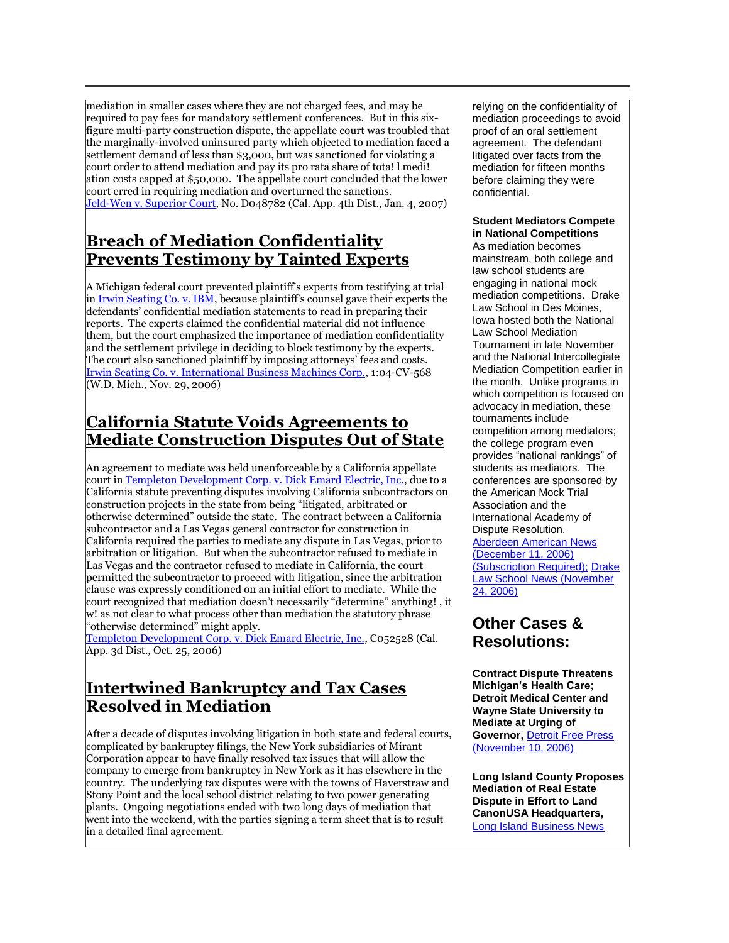mediation in smaller cases where they are not charged fees, and may be required to pay fees for mandatory settlement conferences. But in this sixfigure multi-party construction dispute, the appellate court was troubled that the marginally-involved uninsured party which objected to mediation faced a settlement demand of less than \$3,000, but was sanctioned for violating a court order to attend mediation and pay its pro rata share of tota! l medi! ation costs capped at \$50,000. The appellate court concluded that the lower court erred in requiring mediation and overturned the sanctions. [Jeld-Wen v. Superior Court,](http://tinyurl.com/t87jl) No. D048782 (Cal. App. 4th Dist., Jan. 4, 2007)

#### **Breach of Mediation Confidentiality Prevents Testimony by Tainted Experts**

A Michigan federal court prevented plaintiff's experts from testifying at trial i[n Irwin Seating Co. v. IBM](http://tinyurl.com/vq3ss), because plaintiff's counsel gave their experts the defendants' confidential mediation statements to read in preparing their reports. The experts claimed the confidential material did not influence them, but the court emphasized the importance of mediation confidentiality and the settlement privilege in deciding to block testimony by the experts. The court also sanctioned plaintiff by imposing attorneys' fees and costs. [Irwin Seating Co. v. International Business Machines Corp.,](http://tinyurl.com/vq3ss) 1:04-CV-568 (W.D. Mich., Nov. 29, 2006)

#### **California Statute Voids Agreements to Mediate Construction Disputes Out of State**

An agreement to mediate was held unenforceable by a California appellate court i[n Templeton Development Corp. v. Dick Emard Electric, Inc.,](http://tinyurl.com/vhu24) due to a California statute preventing disputes involving California subcontractors on construction projects in the state from being "litigated, arbitrated or otherwise determined" outside the state. The contract between a California subcontractor and a Las Vegas general contractor for construction in California required the parties to mediate any dispute in Las Vegas, prior to arbitration or litigation. But when the subcontractor refused to mediate in Las Vegas and the contractor refused to mediate in California, the court permitted the subcontractor to proceed with litigation, since the arbitration clause was expressly conditioned on an initial effort to mediate. While the court recognized that mediation doesn't necessarily "determine" anything! , it w! as not clear to what process other than mediation the statutory phrase "otherwise determined" might apply.

[Templeton Development Corp. v. Dick Emard Electric, Inc.,](http://tinyurl.com/vhu24) C052528 (Cal. App. 3d Dist., Oct. 25, 2006)

#### **Intertwined Bankruptcy and Tax Cases Resolved in Mediation**

After a decade of disputes involving litigation in both state and federal courts, complicated by bankruptcy filings, the New York subsidiaries of Mirant Corporation appear to have finally resolved tax issues that will allow the company to emerge from bankruptcy in New York as it has elsewhere in the country. The underlying tax disputes were with the towns of Haverstraw and Stony Point and the local school district relating to two power generating plants. Ongoing negotiations ended with two long days of mediation that went into the weekend, with the parties signing a term sheet that is to result in a detailed final agreement.

relying on the confidentiality of mediation proceedings to avoid proof of an oral settlement agreement. The defendant litigated over facts from the mediation for fifteen months before claiming they were confidential.

#### **Student Mediators Compete in National Competitions**

As mediation becomes mainstream, both college and law school students are engaging in national mock mediation competitions. Drake Law School in Des Moines, Iowa hosted both the National Law School Mediation Tournament in late November and the National Intercollegiate Mediation Competition earlier in the month. Unlike programs in which competition is focused on advocacy in mediation, these tournaments include competition among mediators; the college program even provides "national rankings" of students as mediators. The conferences are sponsored by the American Mock Trial Association and the International Academy of Dispute Resolution. [Aberdeen American News](http://tinyurl.com/tv8c4)  [\(December 11, 2006\)](http://tinyurl.com/tv8c4)  [\(Subscription Required\);](http://tinyurl.com/tv8c4) [Drake](http://tinyurl.com/y5qy5e)  [Law School News \(November](http://tinyurl.com/y5qy5e) 

[24, 2006\)](http://tinyurl.com/y5qy5e)

#### **Other Cases & Resolutions:**

**Contract Dispute Threatens Michigan's Health Care; Detroit Medical Center and Wayne State University to Mediate at Urging of Governor,** [Detroit Free Press](http://tinyurl.com/y67kjv)  [\(November 10, 2006\)](http://tinyurl.com/y67kjv)

**Long Island County Proposes Mediation of Real Estate Dispute in Effort to Land CanonUSA Headquarters,**  [Long Island Business News](http://www.libn.com/breakingNews.htm?articleID=6503)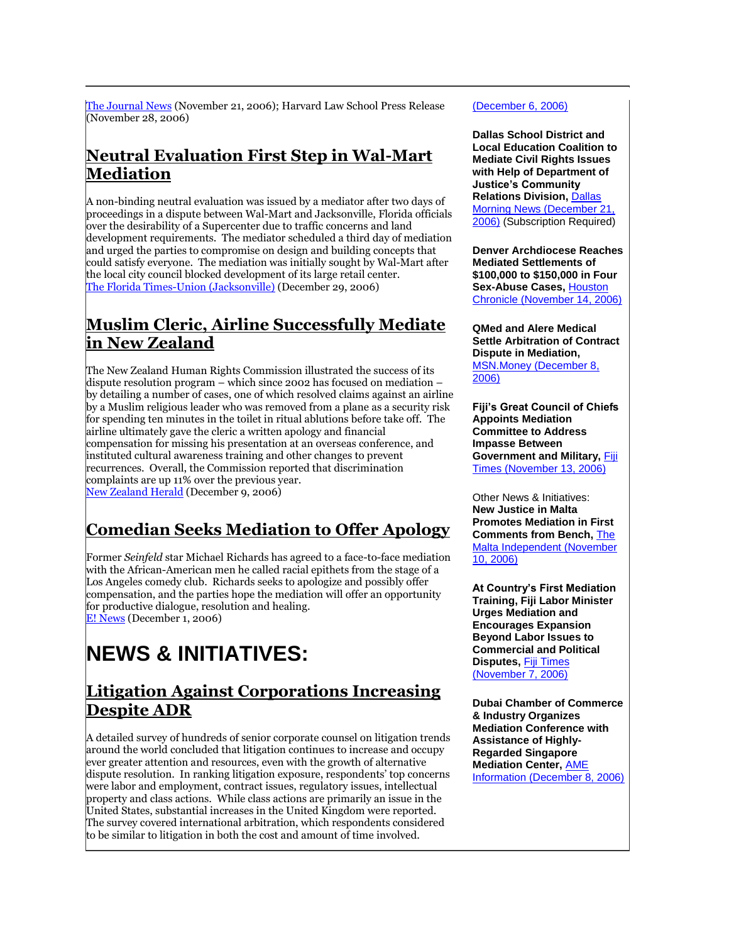[The Journal News](http://tinyurl.com/yy8vet) (November 21, 2006); Harvard Law School Press Release (November 28, 2006)

#### **Neutral Evaluation First Step in Wal-Mart Mediation**

A non-binding neutral evaluation was issued by a mediator after two days of proceedings in a dispute between Wal-Mart and Jacksonville, Florida officials over the desirability of a Supercenter due to traffic concerns and land development requirements. The mediator scheduled a third day of mediation and urged the parties to compromise on design and building concepts that could satisfy everyone. The mediation was initially sought by Wal-Mart after the local city council blocked development of its large retail center. [The Florida Times-Union \(Jacksonville\)](http://tinyurl.com/y6xpum) (December 29, 2006)

#### **Muslim Cleric, Airline Successfully Mediate in New Zealand**

The New Zealand Human Rights Commission illustrated the success of its dispute resolution program – which since 2002 has focused on mediation – by detailing a number of cases, one of which resolved claims against an airline by a Muslim religious leader who was removed from a plane as a security risk for spending ten minutes in the toilet in ritual ablutions before take off. The airline ultimately gave the cleric a written apology and financial compensation for missing his presentation at an overseas conference, and instituted cultural awareness training and other changes to prevent recurrences. Overall, the Commission reported that discrimination complaints are up 11% over the previous year. [New Zealand Herald](http://www.nzherald.co.nz/section/story.cfm?c_id=1&objectid=10414594) (December 9, 2006)

# **Comedian Seeks Mediation to Offer Apology**

Former *Seinfeld* star Michael Richards has agreed to a face-to-face mediation with the African-American men he called racial epithets from the stage of a Los Angeles comedy club. Richards seeks to apologize and possibly offer compensation, and the parties hope the mediation will offer an opportunity for productive dialogue, resolution and healing. [E! News](http://tinyurl.com/y6tvqn) (December 1, 2006)

# **NEWS & INITIATIVES:**

#### **Litigation Against Corporations Increasing Despite ADR**

A detailed survey of hundreds of senior corporate counsel on litigation trends around the world concluded that litigation continues to increase and occupy ever greater attention and resources, even with the growth of alternative dispute resolution. In ranking litigation exposure, respondents' top concerns were labor and employment, contract issues, regulatory issues, intellectual property and class actions. While class actions are primarily an issue in the United States, substantial increases in the United Kingdom were reported. The survey covered international arbitration, which respondents considered to be similar to litigation in both the cost and amount of time involved.

#### (December 6, 2006)

**Dallas School District and Local Education Coalition to Mediate Civil Rights Issues with Help of Department of Justice's Community Relations Division,** [Dallas](http://tinyurl.com/y57qcy)  [Morning News \(December 21,](http://tinyurl.com/y57qcy)  [2006\)](http://tinyurl.com/y57qcy) (Subscription Required)

**Denver Archdiocese Reaches Mediated Settlements of \$100,000 to \$150,000 in Four Sex-Abuse Cases,** [Houston](http://tinyurl.com/trkx8)  [Chronicle \(November 14, 2006\)](http://tinyurl.com/trkx8)

**QMed and Alere Medical Settle Arbitration of Contract Dispute in Mediation,**  [MSN.Money \(December 8,](http://tinyurl.com/y2qzen)  [2006\)](http://tinyurl.com/y2qzen)

**Fiji's Great Council of Chiefs Appoints Mediation Committee to Address Impasse Between Government and Military,** [Fiji](http://www.fijitimes.com/story.aspx?id=51616)  [Times \(November 13, 2006\)](http://www.fijitimes.com/story.aspx?id=51616)

Other News & Initiatives: **New Justice in Malta Promotes Mediation in First Comments from Bench,** [The](http://tinyurl.com/y77ers)  [Malta Independent \(November](http://tinyurl.com/y77ers)  [10, 2006\)](http://tinyurl.com/y77ers)

**At Country's First Mediation Training, Fiji Labor Minister Urges Mediation and Encourages Expansion Beyond Labor Issues to Commercial and Political Disputes,** [Fiji Times](http://www.fijitimes.com/story.aspx?id=51253)  [\(November 7, 2006\)](http://www.fijitimes.com/story.aspx?id=51253)

**Dubai Chamber of Commerce & Industry Organizes Mediation Conference with Assistance of Highly-Regarded Singapore Mediation Center,** [AME](http://www.ameinfo.com/103418.html)  [Information \(December 8, 2006\)](http://www.ameinfo.com/103418.html)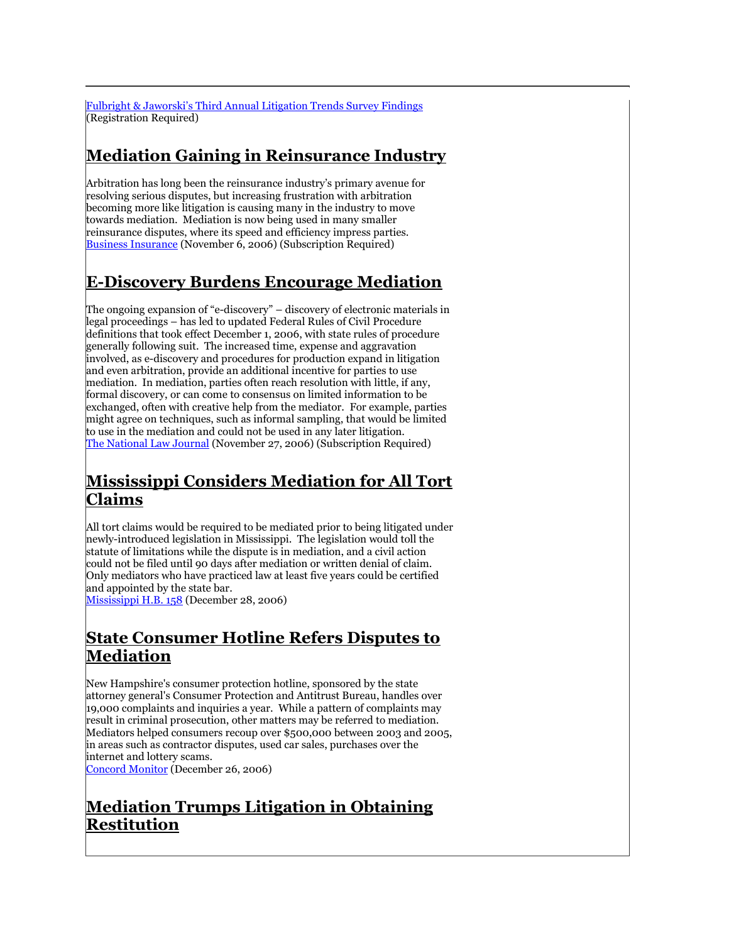[Fulbright & Jaworski's Third Annual Litigation Trends Survey Findings](http://tinyurl.com/snth7) (Registration Required)

# **Mediation Gaining in Reinsurance Industry**

Arbitration has long been the reinsurance industry's primary avenue for resolving serious disputes, but increasing frustration with arbitration becoming more like litigation is causing many in the industry to move towards mediation. Mediation is now being used in many smaller reinsurance disputes, where its speed and efficiency impress parties. [Business Insurance](http://tinyurl.com/y2yfwy) (November 6, 2006) (Subscription Required)

#### **E-Discovery Burdens Encourage Mediation**

The ongoing expansion of "e-discovery" – discovery of electronic materials in legal proceedings – has led to updated Federal Rules of Civil Procedure definitions that took effect December 1, 2006, with state rules of procedure generally following suit. The increased time, expense and aggravation involved, as e-discovery and procedures for production expand in litigation and even arbitration, provide an additional incentive for parties to use mediation. In mediation, parties often reach resolution with little, if any, formal discovery, or can come to consensus on limited information to be exchanged, often with creative help from the mediator. For example, parties might agree on techniques, such as informal sampling, that would be limited to use in the mediation and could not be used in any later litigation. [The National Law Journal](http://web2.westlaw.com/find/default.wl?rs=WLW6.11&fn=_top&sv=Split&findjuris=00001&mt=NewsAndBusines!%0d%0a%20s&!%0d%0a%20vr=2.0&rp=/find/default.wl&cite=11/27/2006+Nat) (November 27, 2006) (Subscription Required)

## **Mississippi Considers Mediation for All Tort Claims**

All tort claims would be required to be mediated prior to being litigated under newly-introduced legislation in Mississippi. The legislation would toll the statute of limitations while the dispute is in mediation, and a civil action could not be filed until 90 days after mediation or written denial of claim. Only mediators who have practiced law at least five years could be certified and appointed by the state bar.

[Mississippi H.B. 158](http://tinyurl.com/y34vzr) (December 28, 2006)

## **State Consumer Hotline Refers Disputes to Mediation**

New Hampshire's consumer protection hotline, sponsored by the state attorney general's Consumer Protection and Antitrust Bureau, handles over 19,000 complaints and inquiries a year. While a pattern of complaints may result in criminal prosecution, other matters may be referred to mediation. Mediators helped consumers recoup over \$500,000 between 2003 and 2005, in areas such as contractor disputes, used car sales, purchases over the internet and lottery scams. [Concord Monitor](http://tinyurl.com/urt9l) (December 26, 2006)

**Mediation Trumps Litigation in Obtaining Restitution**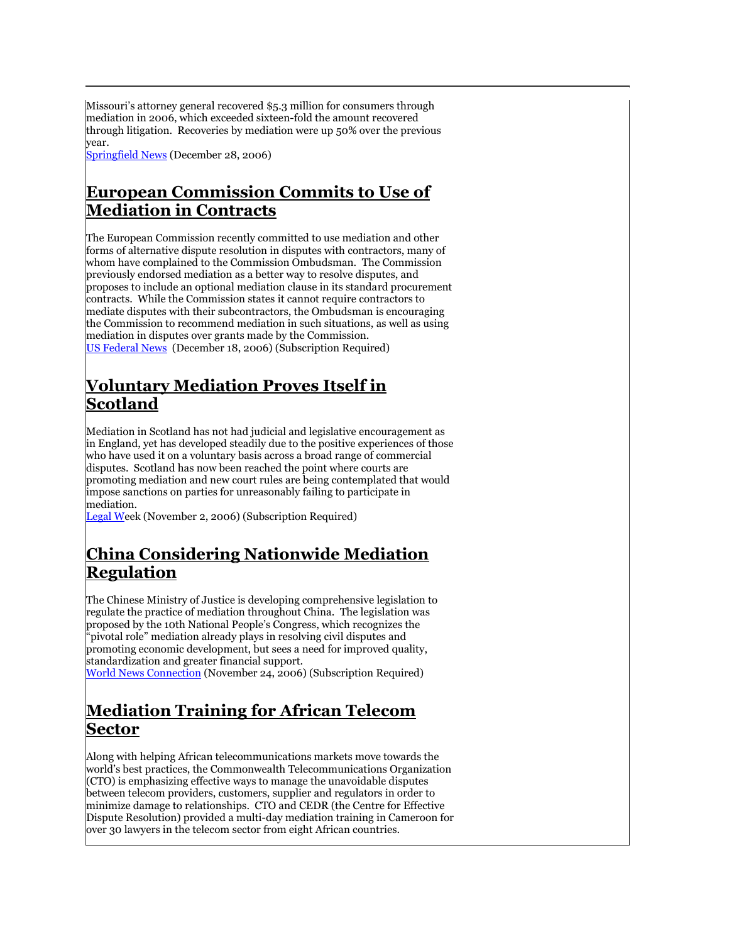Missouri's attorney general recovered \$5.3 million for consumers through mediation in 2006, which exceeded sixteen-fold the amount recovered through litigation. Recoveries by mediation were up 50% over the previous year.

[Springfield News](http://tinyurl.com/vxbrf) (December 28, 2006)

#### **European Commission Commits to Use of Mediation in Contracts**

The European Commission recently committed to use mediation and other forms of alternative dispute resolution in disputes with contractors, many of whom have complained to the Commission Ombudsman. The Commission previously endorsed mediation as a better way to resolve disputes, and proposes to include an optional mediation clause in its standard procurement contracts. While the Commission states it cannot require contractors to mediate disputes with their subcontractors, the Ombudsman is encouraging the Commission to recommend mediation in such situations, as well as using mediation in disputes over grants made by the Commission. [US Federal News](http://tinyurl.com/vxbrf) (December 18, 2006) (Subscription Required)

#### **Voluntary Mediation Proves Itself in Scotland**

Mediation in Scotland has not had judicial and legislative encouragement as in England, yet has developed steadily due to the positive experiences of those who have used it on a voluntary basis across a broad range of commercial disputes. Scotland has now been reached the point where courts are promoting mediation and new court rules are being contemplated that would impose sanctions on parties for unreasonably failing to participate in mediation.

[Legal We](http://web2.westlaw.com/find/default.wl?rs=WLW6.11&fn=_top&sv=Split&findjuris=00001&mt=NewsAndBusiness&vr=2.0&rp=/find/default.wl&cite=2006+WLNR+18987046)ek (November 2, 2006) (Subscription Required)

#### **China Considering Nationwide Mediation Regulation**

The Chinese Ministry of Justice is developing comprehensive legislation to regulate the practice of mediation throughout China. The legislation was proposed by the 10th National People's Congress, which recognizes the "pivotal role" mediation already plays in resolving civil disputes and promoting economic development, but sees a need for improved quality, standardization and greater financial support.

[World News Connection](http://tinyurl.com/yypc2b) (November 24, 2006) (Subscription Required)

## **Mediation Training for African Telecom Sector**

Along with helping African telecommunications markets move towards the world's best practices, the Commonwealth Telecommunications Organization (CTO) is emphasizing effective ways to manage the unavoidable disputes between telecom providers, customers, supplier and regulators in order to minimize damage to relationships. CTO and CEDR (the Centre for Effective Dispute Resolution) provided a multi-day mediation training in Cameroon for over 30 lawyers in the telecom sector from eight African countries.